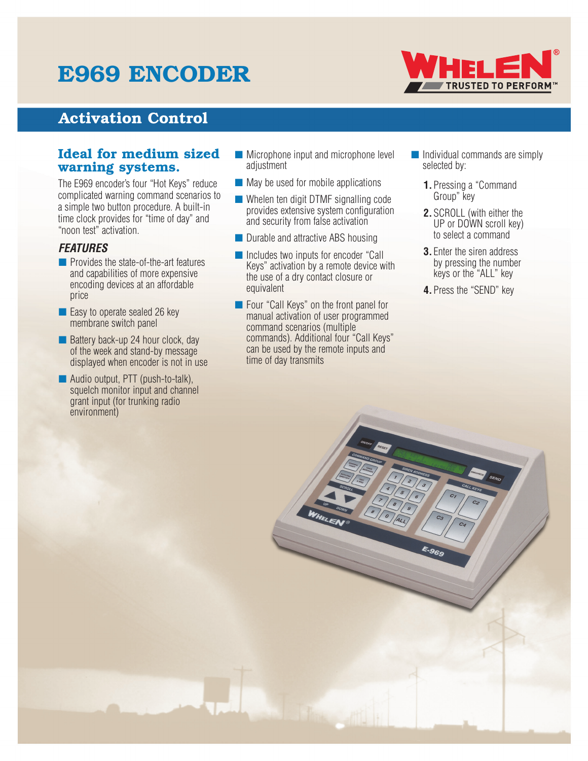# E969 ENCODER



## Activation Control

### Ideal for medium sized warning systems.

The E969 encoder's four "Hot Keys" reduce complicated warning command scenarios to a simple two button procedure. A built-in time clock provides for "time of day" and "noon test" activation.

### *FEATURES*

- Provides the state-of-the-art features and capabilities of more expensive encoding devices at an affordable price
- Easy to operate sealed 26 key membrane switch panel
- Battery back-up 24 hour clock, day of the week and stand-by message displayed when encoder is not in use
- Audio output, PTT (push-to-talk), squelch monitor input and channel grant input (for trunking radio environment)
- Microphone input and microphone level adjustment
- May be used for mobile applications
- Whelen ten digit DTMF signalling code provides extensive system configuration and security from false activation
- Durable and attractive ABS housing
- Includes two inputs for encoder "Call Keys" activation by a remote device with the use of a dry contact closure or equivalent
- Four "Call Keys" on the front panel for manual activation of user programmed command scenarios (multiple commands). Additional four "Call Keys" can be used by the remote inputs and time of day transmits
- Individual commands are simply selected by:
	- **1.**Pressing a "Command Group" key
	- **2.**SCROLL (with either the UP or DOWN scroll key) to select a command
	- **3.** Enter the siren address by pressing the number keys or the "ALL" key
	- **4.**Press the "SEND" key

E.969